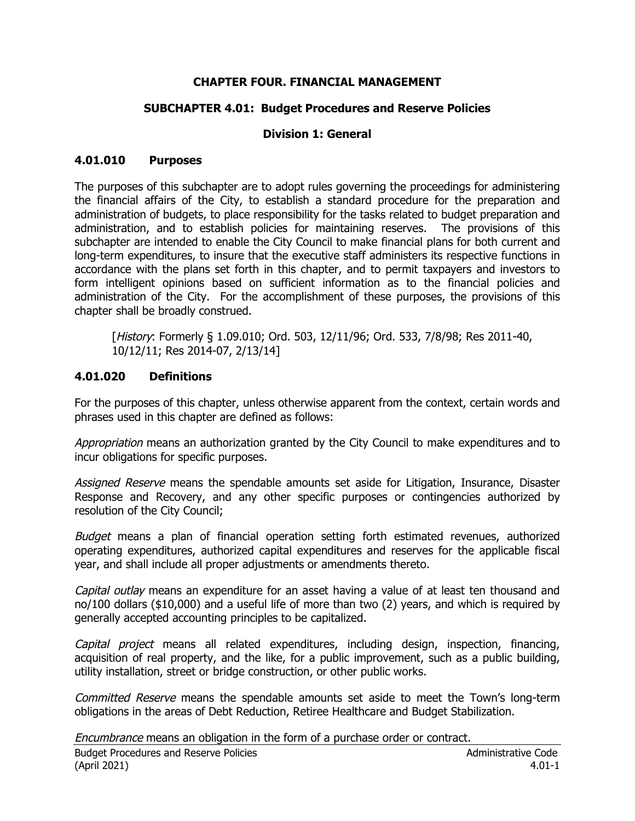### **CHAPTER FOUR. FINANCIAL MANAGEMENT**

#### **SUBCHAPTER 4.01: Budget Procedures and Reserve Policies**

#### **Division 1: General**

#### **4.01.010 Purposes**

The purposes of this subchapter are to adopt rules governing the proceedings for administering the financial affairs of the City, to establish a standard procedure for the preparation and administration of budgets, to place responsibility for the tasks related to budget preparation and administration, and to establish policies for maintaining reserves. The provisions of this subchapter are intended to enable the City Council to make financial plans for both current and long-term expenditures, to insure that the executive staff administers its respective functions in accordance with the plans set forth in this chapter, and to permit taxpayers and investors to form intelligent opinions based on sufficient information as to the financial policies and administration of the City. For the accomplishment of these purposes, the provisions of this chapter shall be broadly construed.

[History: Formerly § 1.09.010; Ord. 503, 12/11/96; Ord. 533, 7/8/98; Res 2011-40, 10/12/11; Res 2014-07, 2/13/14]

#### **4.01.020 Definitions**

For the purposes of this chapter, unless otherwise apparent from the context, certain words and phrases used in this chapter are defined as follows:

Appropriation means an authorization granted by the City Council to make expenditures and to incur obligations for specific purposes.

Assigned Reserve means the spendable amounts set aside for Litigation, Insurance, Disaster Response and Recovery, and any other specific purposes or contingencies authorized by resolution of the City Council;

Budget means a plan of financial operation setting forth estimated revenues, authorized operating expenditures, authorized capital expenditures and reserves for the applicable fiscal year, and shall include all proper adjustments or amendments thereto.

Capital outlay means an expenditure for an asset having a value of at least ten thousand and no/100 dollars (\$10,000) and a useful life of more than two (2) years, and which is required by generally accepted accounting principles to be capitalized.

Capital project means all related expenditures, including design, inspection, financing, acquisition of real property, and the like, for a public improvement, such as a public building, utility installation, street or bridge construction, or other public works.

Committed Reserve means the spendable amounts set aside to meet the Town's long-term obligations in the areas of Debt Reduction, Retiree Healthcare and Budget Stabilization.

Encumbrance means an obligation in the form of a purchase order or contract.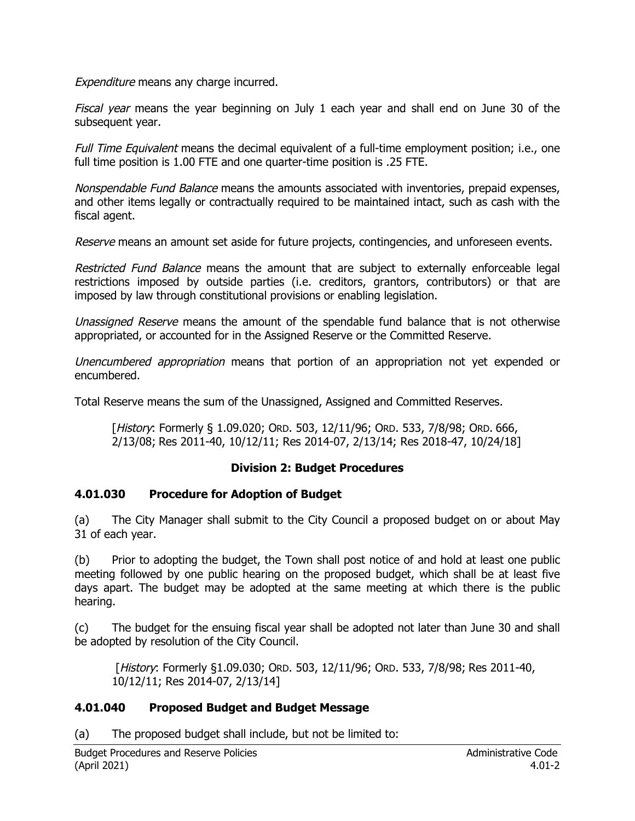Expenditure means any charge incurred.

Fiscal year means the year beginning on July 1 each year and shall end on June 30 of the subsequent year.

Full Time Equivalent means the decimal equivalent of a full-time employment position; i.e., one full time position is 1.00 FTE and one quarter-time position is .25 FTE.

Nonspendable Fund Balance means the amounts associated with inventories, prepaid expenses, and other items legally or contractually required to be maintained intact, such as cash with the fiscal agent.

Reserve means an amount set aside for future projects, contingencies, and unforeseen events.

Restricted Fund Balance means the amount that are subject to externally enforceable legal restrictions imposed by outside parties (i.e. creditors, grantors, contributors) or that are imposed by law through constitutional provisions or enabling legislation.

Unassigned Reserve means the amount of the spendable fund balance that is not otherwise appropriated, or accounted for in the Assigned Reserve or the Committed Reserve.

Unencumbered appropriation means that portion of an appropriation not yet expended or encumbered.

Total Reserve means the sum of the Unassigned, Assigned and Committed Reserves.

[History: Formerly § 1.09.020; ORD. 503, 12/11/96; ORD. 533, 7/8/98; ORD. 666, 2/13/08; Res 2011-40, 10/12/11; Res 2014-07, 2/13/14; Res 2018-47, 10/24/18]

## **Division 2: Budget Procedures**

### **4.01.030 Procedure for Adoption of Budget**

(a) The City Manager shall submit to the City Council a proposed budget on or about May 31 of each year.

(b) Prior to adopting the budget, the Town shall post notice of and hold at least one public meeting followed by one public hearing on the proposed budget, which shall be at least five days apart. The budget may be adopted at the same meeting at which there is the public hearing.

(c) The budget for the ensuing fiscal year shall be adopted not later than June 30 and shall be adopted by resolution of the City Council.

 [History: Formerly §1.09.030; ORD. 503, 12/11/96; ORD. 533, 7/8/98; Res 2011-40, 10/12/11; Res 2014-07, 2/13/14]

### **4.01.040 Proposed Budget and Budget Message**

(a) The proposed budget shall include, but not be limited to: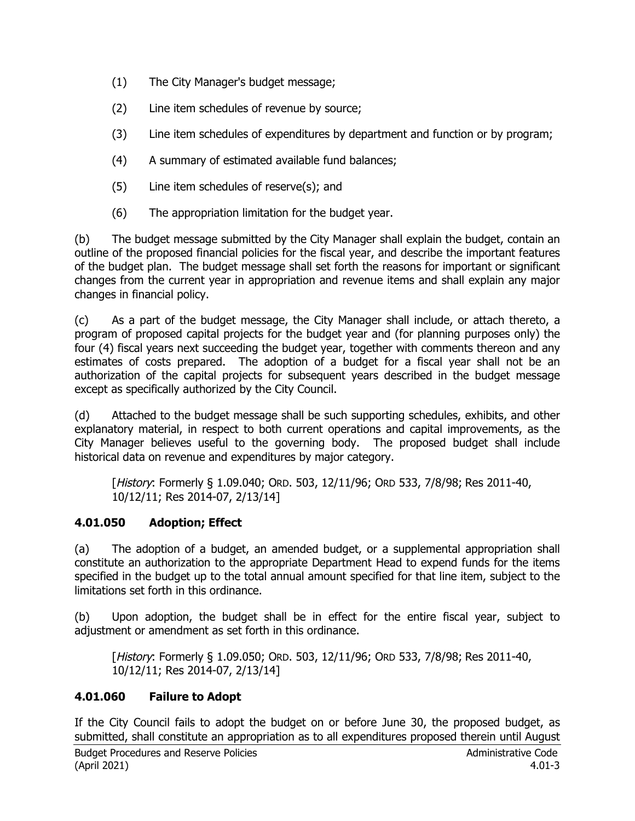- (1) The City Manager's budget message;
- (2) Line item schedules of revenue by source;
- (3) Line item schedules of expenditures by department and function or by program;
- (4) A summary of estimated available fund balances;
- (5) Line item schedules of reserve(s); and
- (6) The appropriation limitation for the budget year.

(b) The budget message submitted by the City Manager shall explain the budget, contain an outline of the proposed financial policies for the fiscal year, and describe the important features of the budget plan. The budget message shall set forth the reasons for important or significant changes from the current year in appropriation and revenue items and shall explain any major changes in financial policy.

(c) As a part of the budget message, the City Manager shall include, or attach thereto, a program of proposed capital projects for the budget year and (for planning purposes only) the four (4) fiscal years next succeeding the budget year, together with comments thereon and any estimates of costs prepared. The adoption of a budget for a fiscal year shall not be an authorization of the capital projects for subsequent years described in the budget message except as specifically authorized by the City Council.

(d) Attached to the budget message shall be such supporting schedules, exhibits, and other explanatory material, in respect to both current operations and capital improvements, as the City Manager believes useful to the governing body. The proposed budget shall include historical data on revenue and expenditures by major category.

[History: Formerly § 1.09.040; ORD. 503, 12/11/96; ORD 533, 7/8/98; Res 2011-40, 10/12/11; Res 2014-07, 2/13/14]

## **4.01.050 Adoption; Effect**

(a) The adoption of a budget, an amended budget, or a supplemental appropriation shall constitute an authorization to the appropriate Department Head to expend funds for the items specified in the budget up to the total annual amount specified for that line item, subject to the limitations set forth in this ordinance.

(b) Upon adoption, the budget shall be in effect for the entire fiscal year, subject to adjustment or amendment as set forth in this ordinance.

[History: Formerly § 1.09.050; ORD. 503, 12/11/96; ORD 533, 7/8/98; Res 2011-40, 10/12/11; Res 2014-07, 2/13/14]

## **4.01.060 Failure to Adopt**

If the City Council fails to adopt the budget on or before June 30, the proposed budget, as submitted, shall constitute an appropriation as to all expenditures proposed therein until August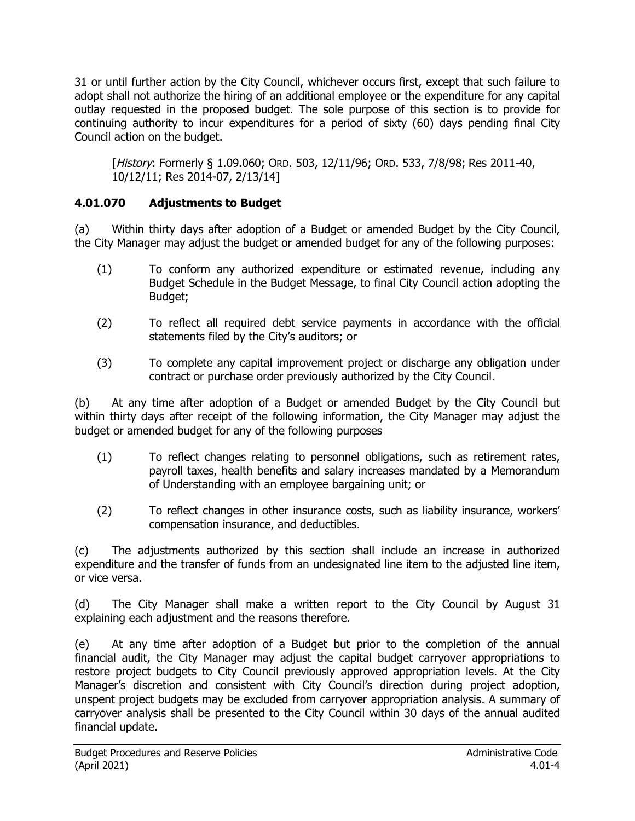31 or until further action by the City Council, whichever occurs first, except that such failure to adopt shall not authorize the hiring of an additional employee or the expenditure for any capital outlay requested in the proposed budget. The sole purpose of this section is to provide for continuing authority to incur expenditures for a period of sixty (60) days pending final City Council action on the budget.

[History: Formerly § 1.09.060; ORD. 503, 12/11/96; ORD. 533, 7/8/98; Res 2011-40, 10/12/11; Res 2014-07, 2/13/14]

### **4.01.070 Adjustments to Budget**

(a) Within thirty days after adoption of a Budget or amended Budget by the City Council, the City Manager may adjust the budget or amended budget for any of the following purposes:

- (1) To conform any authorized expenditure or estimated revenue, including any Budget Schedule in the Budget Message, to final City Council action adopting the Budget;
- (2) To reflect all required debt service payments in accordance with the official statements filed by the City's auditors; or
- (3) To complete any capital improvement project or discharge any obligation under contract or purchase order previously authorized by the City Council.

(b) At any time after adoption of a Budget or amended Budget by the City Council but within thirty days after receipt of the following information, the City Manager may adjust the budget or amended budget for any of the following purposes

- (1) To reflect changes relating to personnel obligations, such as retirement rates, payroll taxes, health benefits and salary increases mandated by a Memorandum of Understanding with an employee bargaining unit; or
- (2) To reflect changes in other insurance costs, such as liability insurance, workers' compensation insurance, and deductibles.

(c) The adjustments authorized by this section shall include an increase in authorized expenditure and the transfer of funds from an undesignated line item to the adjusted line item, or vice versa.

(d) The City Manager shall make a written report to the City Council by August 31 explaining each adjustment and the reasons therefore.

(e) At any time after adoption of a Budget but prior to the completion of the annual financial audit, the City Manager may adjust the capital budget carryover appropriations to restore project budgets to City Council previously approved appropriation levels. At the City Manager's discretion and consistent with City Council's direction during project adoption, unspent project budgets may be excluded from carryover appropriation analysis. A summary of carryover analysis shall be presented to the City Council within 30 days of the annual audited financial update.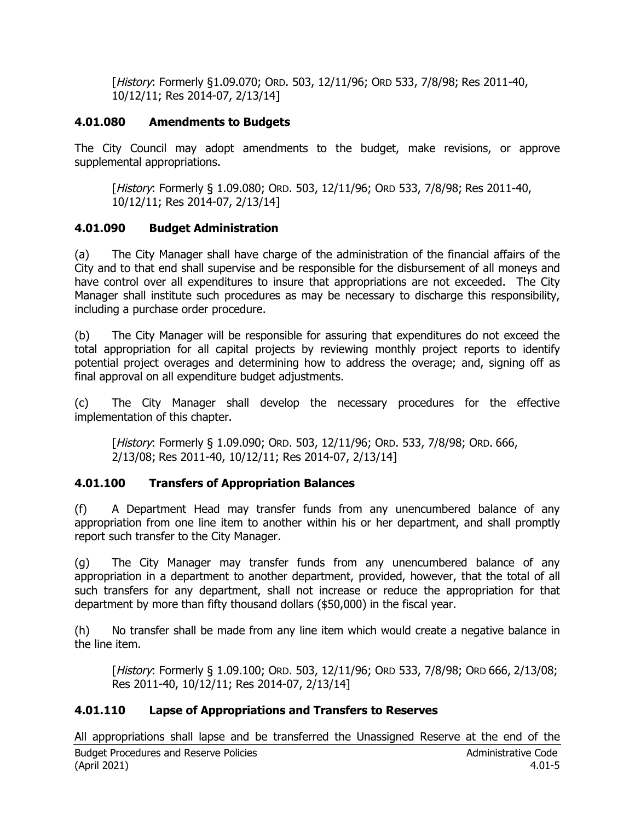[History: Formerly §1.09.070; ORD. 503, 12/11/96; ORD 533, 7/8/98; Res 2011-40, 10/12/11; Res 2014-07, 2/13/14]

### **4.01.080 Amendments to Budgets**

The City Council may adopt amendments to the budget, make revisions, or approve supplemental appropriations.

[History: Formerly § 1.09.080; ORD. 503, 12/11/96; ORD 533, 7/8/98; Res 2011-40, 10/12/11; Res 2014-07, 2/13/14]

# **4.01.090 Budget Administration**

(a) The City Manager shall have charge of the administration of the financial affairs of the City and to that end shall supervise and be responsible for the disbursement of all moneys and have control over all expenditures to insure that appropriations are not exceeded. The City Manager shall institute such procedures as may be necessary to discharge this responsibility, including a purchase order procedure.

(b) The City Manager will be responsible for assuring that expenditures do not exceed the total appropriation for all capital projects by reviewing monthly project reports to identify potential project overages and determining how to address the overage; and, signing off as final approval on all expenditure budget adjustments.

(c) The City Manager shall develop the necessary procedures for the effective implementation of this chapter.

[History: Formerly § 1.09.090; ORD. 503, 12/11/96; ORD. 533, 7/8/98; ORD. 666, 2/13/08; Res 2011-40, 10/12/11; Res 2014-07, 2/13/14]

## **4.01.100 Transfers of Appropriation Balances**

(f) A Department Head may transfer funds from any unencumbered balance of any appropriation from one line item to another within his or her department, and shall promptly report such transfer to the City Manager.

(g) The City Manager may transfer funds from any unencumbered balance of any appropriation in a department to another department, provided, however, that the total of all such transfers for any department, shall not increase or reduce the appropriation for that department by more than fifty thousand dollars (\$50,000) in the fiscal year.

(h) No transfer shall be made from any line item which would create a negative balance in the line item.

[History: Formerly § 1.09.100; ORD. 503, 12/11/96; ORD 533, 7/8/98; ORD 666, 2/13/08; Res 2011-40, 10/12/11; Res 2014-07, 2/13/14]

# **4.01.110 Lapse of Appropriations and Transfers to Reserves**

Budget Procedures and Reserve Policies Administrative Code (April 2021) 4.01-5 All appropriations shall lapse and be transferred the Unassigned Reserve at the end of the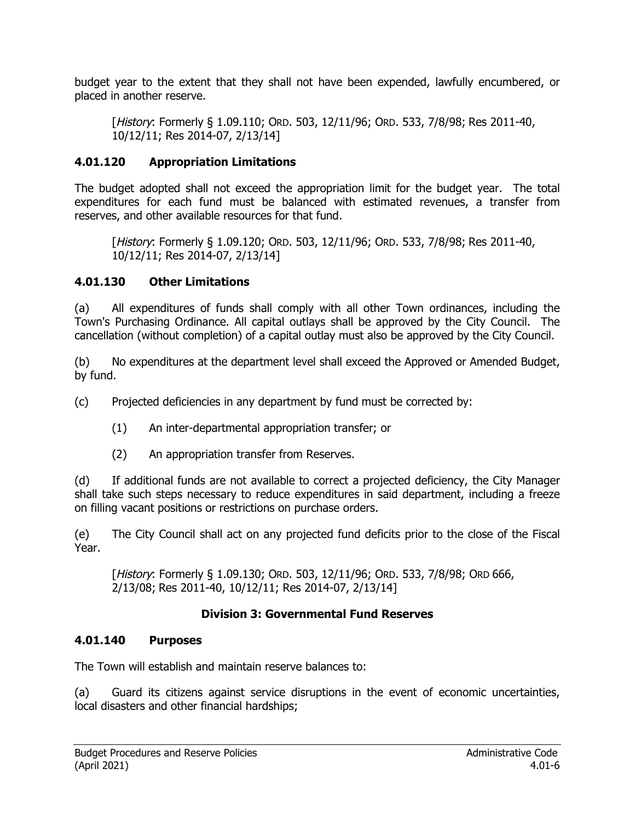budget year to the extent that they shall not have been expended, lawfully encumbered, or placed in another reserve.

[History: Formerly § 1.09.110; ORD. 503, 12/11/96; ORD. 533, 7/8/98; Res 2011-40, 10/12/11; Res 2014-07, 2/13/14]

### **4.01.120 Appropriation Limitations**

The budget adopted shall not exceed the appropriation limit for the budget year. The total expenditures for each fund must be balanced with estimated revenues, a transfer from reserves, and other available resources for that fund.

[History: Formerly § 1.09.120; ORD. 503, 12/11/96; ORD. 533, 7/8/98; Res 2011-40, 10/12/11; Res 2014-07, 2/13/14]

#### **4.01.130 Other Limitations**

(a) All expenditures of funds shall comply with all other Town ordinances, including the Town's Purchasing Ordinance. All capital outlays shall be approved by the City Council. The cancellation (without completion) of a capital outlay must also be approved by the City Council.

(b) No expenditures at the department level shall exceed the Approved or Amended Budget, by fund.

(c) Projected deficiencies in any department by fund must be corrected by:

- (1) An inter-departmental appropriation transfer; or
- (2) An appropriation transfer from Reserves.

(d) If additional funds are not available to correct a projected deficiency, the City Manager shall take such steps necessary to reduce expenditures in said department, including a freeze on filling vacant positions or restrictions on purchase orders.

(e) The City Council shall act on any projected fund deficits prior to the close of the Fiscal Year.

[History: Formerly § 1.09.130; ORD. 503, 12/11/96; ORD. 533, 7/8/98; ORD 666, 2/13/08; Res 2011-40, 10/12/11; Res 2014-07, 2/13/14]

#### **Division 3: Governmental Fund Reserves**

#### **4.01.140 Purposes**

The Town will establish and maintain reserve balances to:

(a) Guard its citizens against service disruptions in the event of economic uncertainties, local disasters and other financial hardships;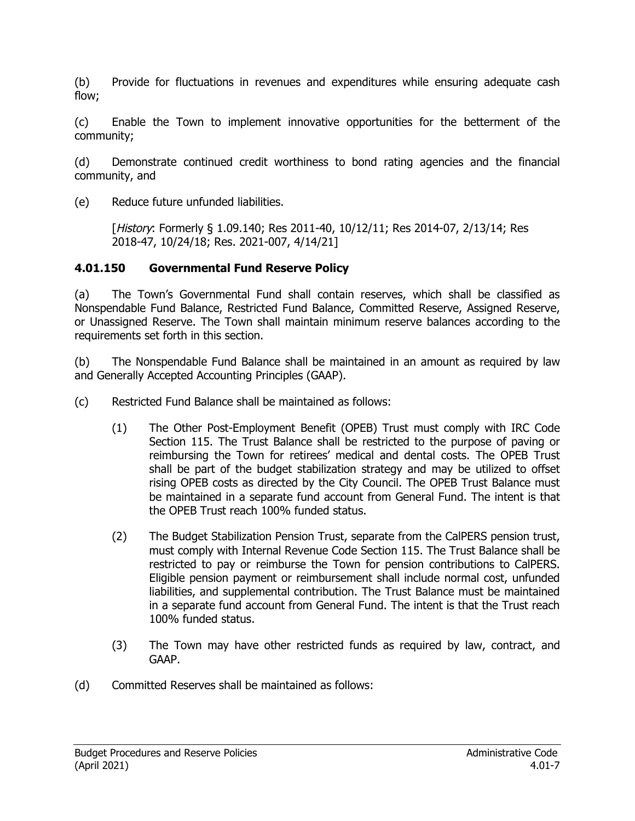(b) Provide for fluctuations in revenues and expenditures while ensuring adequate cash flow;

(c) Enable the Town to implement innovative opportunities for the betterment of the community;

(d) Demonstrate continued credit worthiness to bond rating agencies and the financial community, and

(e) Reduce future unfunded liabilities.

[History: Formerly § 1.09.140; Res 2011-40, 10/12/11; Res 2014-07, 2/13/14; Res 2018-47, 10/24/18; Res. 2021-007, 4/14/21]

### **4.01.150 Governmental Fund Reserve Policy**

(a) The Town's Governmental Fund shall contain reserves, which shall be classified as Nonspendable Fund Balance, Restricted Fund Balance, Committed Reserve, Assigned Reserve, or Unassigned Reserve. The Town shall maintain minimum reserve balances according to the requirements set forth in this section.

(b) The Nonspendable Fund Balance shall be maintained in an amount as required by law and Generally Accepted Accounting Principles (GAAP).

- (c) Restricted Fund Balance shall be maintained as follows:
	- (1) The Other Post-Employment Benefit (OPEB) Trust must comply with IRC Code Section 115. The Trust Balance shall be restricted to the purpose of paving or reimbursing the Town for retirees' medical and dental costs. The OPEB Trust shall be part of the budget stabilization strategy and may be utilized to offset rising OPEB costs as directed by the City Council. The OPEB Trust Balance must be maintained in a separate fund account from General Fund. The intent is that the OPEB Trust reach 100% funded status.
	- (2) The Budget Stabilization Pension Trust, separate from the CalPERS pension trust, must comply with Internal Revenue Code Section 115. The Trust Balance shall be restricted to pay or reimburse the Town for pension contributions to CalPERS. Eligible pension payment or reimbursement shall include normal cost, unfunded liabilities, and supplemental contribution. The Trust Balance must be maintained in a separate fund account from General Fund. The intent is that the Trust reach 100% funded status.
	- (3) The Town may have other restricted funds as required by law, contract, and GAAP.
- (d) Committed Reserves shall be maintained as follows: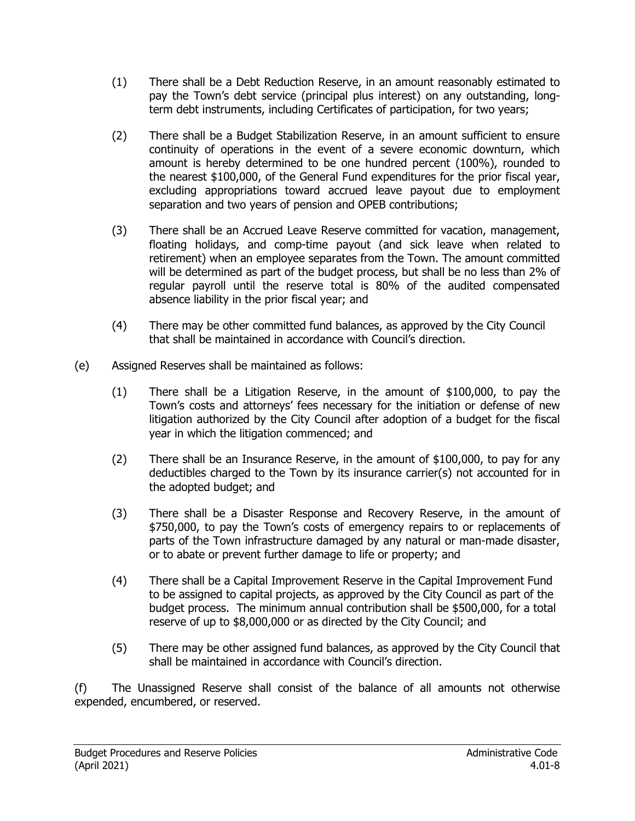- (1) There shall be a Debt Reduction Reserve, in an amount reasonably estimated to pay the Town's debt service (principal plus interest) on any outstanding, longterm debt instruments, including Certificates of participation, for two years;
- (2) There shall be a Budget Stabilization Reserve, in an amount sufficient to ensure continuity of operations in the event of a severe economic downturn, which amount is hereby determined to be one hundred percent (100%), rounded to the nearest \$100,000, of the General Fund expenditures for the prior fiscal year, excluding appropriations toward accrued leave payout due to employment separation and two years of pension and OPEB contributions;
- (3) There shall be an Accrued Leave Reserve committed for vacation, management, floating holidays, and comp-time payout (and sick leave when related to retirement) when an employee separates from the Town. The amount committed will be determined as part of the budget process, but shall be no less than 2% of regular payroll until the reserve total is 80% of the audited compensated absence liability in the prior fiscal year; and
- (4) There may be other committed fund balances, as approved by the City Council that shall be maintained in accordance with Council's direction.
- (e) Assigned Reserves shall be maintained as follows:
	- (1) There shall be a Litigation Reserve, in the amount of \$100,000, to pay the Town's costs and attorneys' fees necessary for the initiation or defense of new litigation authorized by the City Council after adoption of a budget for the fiscal year in which the litigation commenced; and
	- (2) There shall be an Insurance Reserve, in the amount of \$100,000, to pay for any deductibles charged to the Town by its insurance carrier(s) not accounted for in the adopted budget; and
	- (3) There shall be a Disaster Response and Recovery Reserve, in the amount of \$750,000, to pay the Town's costs of emergency repairs to or replacements of parts of the Town infrastructure damaged by any natural or man-made disaster, or to abate or prevent further damage to life or property; and
	- (4) There shall be a Capital Improvement Reserve in the Capital Improvement Fund to be assigned to capital projects, as approved by the City Council as part of the budget process. The minimum annual contribution shall be \$500,000, for a total reserve of up to \$8,000,000 or as directed by the City Council; and
	- (5) There may be other assigned fund balances, as approved by the City Council that shall be maintained in accordance with Council's direction.

(f) The Unassigned Reserve shall consist of the balance of all amounts not otherwise expended, encumbered, or reserved.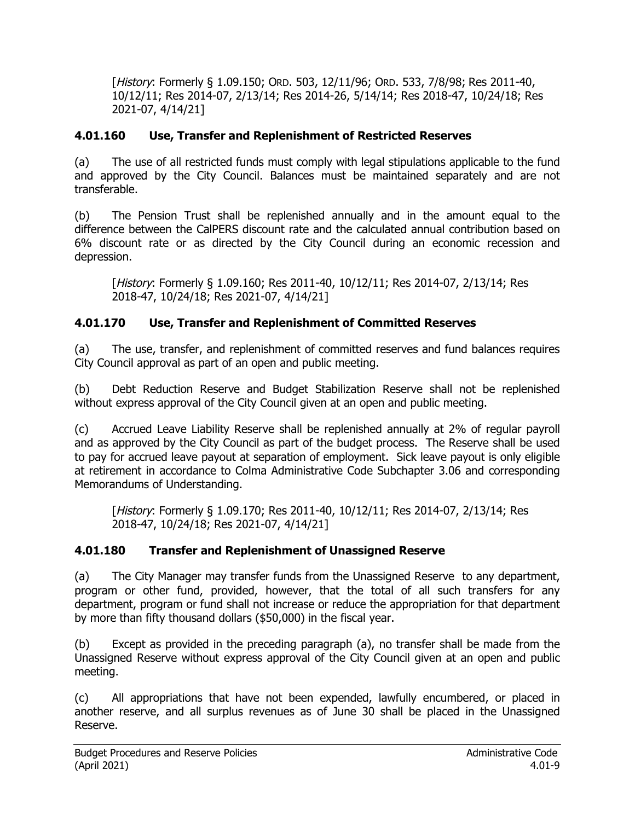[History: Formerly § 1.09.150; ORD. 503, 12/11/96; ORD. 533, 7/8/98; Res 2011-40, 10/12/11; Res 2014-07, 2/13/14; Res 2014-26, 5/14/14; Res 2018-47, 10/24/18; Res 2021-07, 4/14/21]

## **4.01.160 Use, Transfer and Replenishment of Restricted Reserves**

(a) The use of all restricted funds must comply with legal stipulations applicable to the fund and approved by the City Council. Balances must be maintained separately and are not transferable.

(b) The Pension Trust shall be replenished annually and in the amount equal to the difference between the CalPERS discount rate and the calculated annual contribution based on 6% discount rate or as directed by the City Council during an economic recession and depression.

[History: Formerly § 1.09.160; Res 2011-40, 10/12/11; Res 2014-07, 2/13/14; Res 2018-47, 10/24/18; Res 2021-07, 4/14/21]

## **4.01.170 Use, Transfer and Replenishment of Committed Reserves**

(a) The use, transfer, and replenishment of committed reserves and fund balances requires City Council approval as part of an open and public meeting.

(b) Debt Reduction Reserve and Budget Stabilization Reserve shall not be replenished without express approval of the City Council given at an open and public meeting.

(c) Accrued Leave Liability Reserve shall be replenished annually at 2% of regular payroll and as approved by the City Council as part of the budget process. The Reserve shall be used to pay for accrued leave payout at separation of employment. Sick leave payout is only eligible at retirement in accordance to Colma Administrative Code Subchapter 3.06 and corresponding Memorandums of Understanding.

[History: Formerly § 1.09.170; Res 2011-40, 10/12/11; Res 2014-07, 2/13/14; Res 2018-47, 10/24/18; Res 2021-07, 4/14/21]

### **4.01.180 Transfer and Replenishment of Unassigned Reserve**

(a) The City Manager may transfer funds from the Unassigned Reserve to any department, program or other fund, provided, however, that the total of all such transfers for any department, program or fund shall not increase or reduce the appropriation for that department by more than fifty thousand dollars (\$50,000) in the fiscal year.

(b) Except as provided in the preceding paragraph (a), no transfer shall be made from the Unassigned Reserve without express approval of the City Council given at an open and public meeting.

(c) All appropriations that have not been expended, lawfully encumbered, or placed in another reserve, and all surplus revenues as of June 30 shall be placed in the Unassigned Reserve.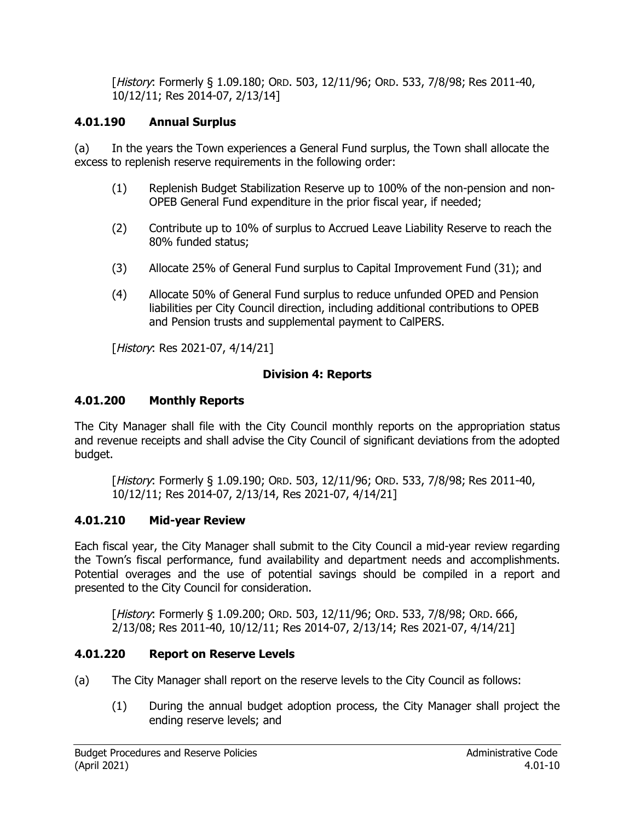[History: Formerly § 1.09.180; ORD. 503, 12/11/96; ORD. 533, 7/8/98; Res 2011-40, 10/12/11; Res 2014-07, 2/13/14]

## **4.01.190 Annual Surplus**

(a) In the years the Town experiences a General Fund surplus, the Town shall allocate the excess to replenish reserve requirements in the following order:

- (1) Replenish Budget Stabilization Reserve up to 100% of the non-pension and non-OPEB General Fund expenditure in the prior fiscal year, if needed;
- (2) Contribute up to 10% of surplus to Accrued Leave Liability Reserve to reach the 80% funded status;
- (3) Allocate 25% of General Fund surplus to Capital Improvement Fund (31); and
- (4) Allocate 50% of General Fund surplus to reduce unfunded OPED and Pension liabilities per City Council direction, including additional contributions to OPEB and Pension trusts and supplemental payment to CalPERS.

[History: Res 2021-07, 4/14/21]

### **Division 4: Reports**

### **4.01.200 Monthly Reports**

The City Manager shall file with the City Council monthly reports on the appropriation status and revenue receipts and shall advise the City Council of significant deviations from the adopted budget.

[History: Formerly § 1.09.190; ORD. 503, 12/11/96; ORD. 533, 7/8/98; Res 2011-40, 10/12/11; Res 2014-07, 2/13/14, Res 2021-07, 4/14/21]

## **4.01.210 Mid-year Review**

Each fiscal year, the City Manager shall submit to the City Council a mid-year review regarding the Town's fiscal performance, fund availability and department needs and accomplishments. Potential overages and the use of potential savings should be compiled in a report and presented to the City Council for consideration.

[History: Formerly § 1.09.200; ORD. 503, 12/11/96; ORD. 533, 7/8/98; ORD. 666, 2/13/08; Res 2011-40, 10/12/11; Res 2014-07, 2/13/14; Res 2021-07, 4/14/21]

## **4.01.220 Report on Reserve Levels**

- (a) The City Manager shall report on the reserve levels to the City Council as follows:
	- (1) During the annual budget adoption process, the City Manager shall project the ending reserve levels; and